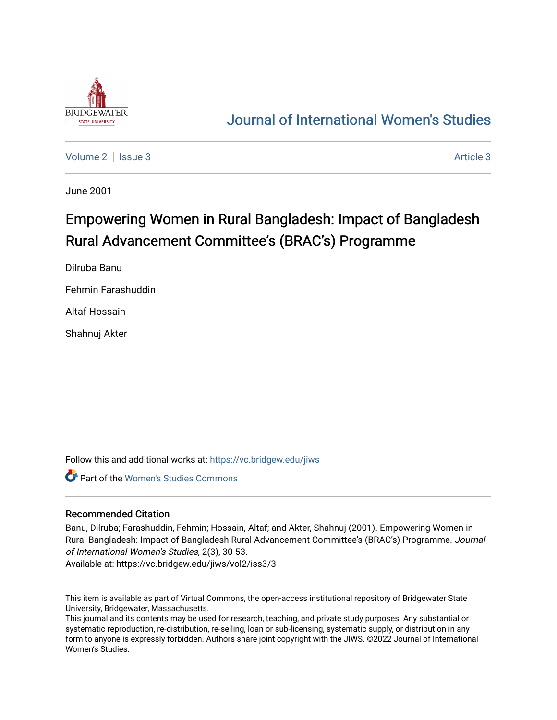

# [Journal of International Women's Studies](https://vc.bridgew.edu/jiws)

[Volume 2](https://vc.bridgew.edu/jiws/vol2) | [Issue 3](https://vc.bridgew.edu/jiws/vol2/iss3) [Article 3](https://vc.bridgew.edu/jiws/vol2/iss3/3) Article 3

June 2001

# Empowering Women in Rural Bangladesh: Impact of Bangladesh Rural Advancement Committee's (BRAC's) Programme

Dilruba Banu

Fehmin Farashuddin

Altaf Hossain

Shahnuj Akter

Follow this and additional works at: [https://vc.bridgew.edu/jiws](https://vc.bridgew.edu/jiws?utm_source=vc.bridgew.edu%2Fjiws%2Fvol2%2Fiss3%2F3&utm_medium=PDF&utm_campaign=PDFCoverPages)

Part of the [Women's Studies Commons](http://network.bepress.com/hgg/discipline/561?utm_source=vc.bridgew.edu%2Fjiws%2Fvol2%2Fiss3%2F3&utm_medium=PDF&utm_campaign=PDFCoverPages) 

#### Recommended Citation

Banu, Dilruba; Farashuddin, Fehmin; Hossain, Altaf; and Akter, Shahnuj (2001). Empowering Women in Rural Bangladesh: Impact of Bangladesh Rural Advancement Committee's (BRAC's) Programme. Journal of International Women's Studies, 2(3), 30-53.

Available at: https://vc.bridgew.edu/jiws/vol2/iss3/3

This item is available as part of Virtual Commons, the open-access institutional repository of Bridgewater State University, Bridgewater, Massachusetts.

This journal and its contents may be used for research, teaching, and private study purposes. Any substantial or systematic reproduction, re-distribution, re-selling, loan or sub-licensing, systematic supply, or distribution in any form to anyone is expressly forbidden. Authors share joint copyright with the JIWS. ©2022 Journal of International Women's Studies.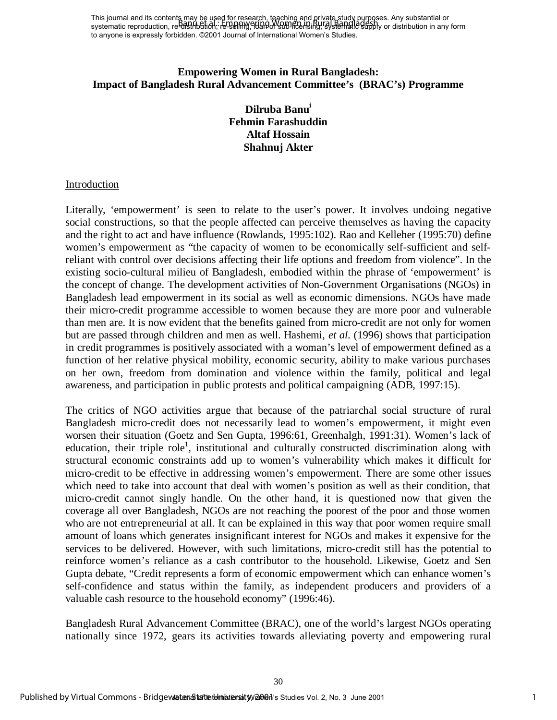This journal and its contents may be used for research, teaching and private study purposes. Any substantial or This journal and its contents may be able for research, againing and private study burboses. Any substantial or<br>systematic reproduction, re-distribution, re-Belling Handol Sup-licensing, research supply or distribution in to anyone is expressly forbidden. ©2001 Journal of International Women's Studies.

#### **Empowering Women in Rural Bangladesh: Impact of Bangladesh Rural Advancement Committee's (BRAC's) Programme**

**Dilruba Banu<sup>i</sup> Fehmin Farashuddin Altaf Hossain Shahnuj Akter**

#### Introduction

Literally, 'empowerment' is seen to relate to the user's power. It involves undoing negative social constructions, so that the people affected can perceive themselves as having the capacity and the right to act and have influence (Rowlands, 1995:102). Rao and Kelleher (1995:70) define women's empowerment as "the capacity of women to be economically self-sufficient and selfreliant with control over decisions affecting their life options and freedom from violence". In the existing socio-cultural milieu of Bangladesh, embodied within the phrase of 'empowerment' is the concept of change. The development activities of Non-Government Organisations (NGOs) in Bangladesh lead empowerment in its social as well as economic dimensions. NGOs have made their micro-credit programme accessible to women because they are more poor and vulnerable than men are. It is now evident that the benefits gained from micro-credit are not only for women but are passed through children and men as well. Hashemi, *et al.* (1996) shows that participation in credit programmes is positively associated with a woman's level of empowerment defined as a function of her relative physical mobility, economic security, ability to make various purchases on her own, freedom from domination and violence within the family, political and legal awareness, and participation in public protests and political campaigning (ADB, 1997:15).

The critics of NGO activities argue that because of the patriarchal social structure of rural Bangladesh micro-credit does not necessarily lead to women's empowerment, it might even worsen their situation (Goetz and Sen Gupta, 1996:61, Greenhalgh, 1991:31). Women's lack of education, their triple role<sup>1</sup>, institutional and culturally constructed discrimination along with structural economic constraints add up to women's vulnerability which makes it difficult for micro-credit to be effective in addressing women's empowerment. There are some other issues which need to take into account that deal with women's position as well as their condition, that micro-credit cannot singly handle. On the other hand, it is questioned now that given the coverage all over Bangladesh, NGOs are not reaching the poorest of the poor and those women who are not entrepreneurial at all. It can be explained in this way that poor women require small amount of loans which generates insignificant interest for NGOs and makes it expensive for the services to be delivered. However, with such limitations, micro-credit still has the potential to reinforce women's reliance as a cash contributor to the household. Likewise, Goetz and Sen Gupta debate, "Credit represents a form of economic empowerment which can enhance women's self-confidence and status within the family, as independent producers and providers of a valuable cash resource to the household economy" (1996:46).

Bangladesh Rural Advancement Committee (BRAC), one of the world's largest NGOs operating nationally since 1972, gears its activities towards alleviating poverty and empowering rural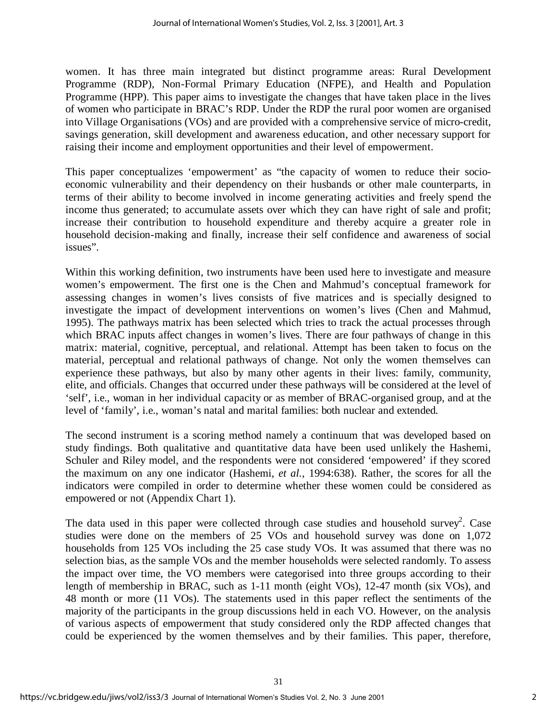women. It has three main integrated but distinct programme areas: Rural Development Programme (RDP), Non-Formal Primary Education (NFPE), and Health and Population Programme (HPP). This paper aims to investigate the changes that have taken place in the lives of women who participate in BRAC's RDP. Under the RDP the rural poor women are organised into Village Organisations (VOs) and are provided with a comprehensive service of micro-credit, savings generation, skill development and awareness education, and other necessary support for raising their income and employment opportunities and their level of empowerment.

This paper conceptualizes 'empowerment' as "the capacity of women to reduce their socioeconomic vulnerability and their dependency on their husbands or other male counterparts, in terms of their ability to become involved in income generating activities and freely spend the income thus generated; to accumulate assets over which they can have right of sale and profit; increase their contribution to household expenditure and thereby acquire a greater role in household decision-making and finally, increase their self confidence and awareness of social issues".

Within this working definition, two instruments have been used here to investigate and measure women's empowerment. The first one is the Chen and Mahmud's conceptual framework for assessing changes in women's lives consists of five matrices and is specially designed to investigate the impact of development interventions on women's lives (Chen and Mahmud, 1995). The pathways matrix has been selected which tries to track the actual processes through which BRAC inputs affect changes in women's lives. There are four pathways of change in this matrix: material, cognitive, perceptual, and relational. Attempt has been taken to focus on the material, perceptual and relational pathways of change. Not only the women themselves can experience these pathways, but also by many other agents in their lives: family, community, elite, and officials. Changes that occurred under these pathways will be considered at the level of 'self', i.e., woman in her individual capacity or as member of BRAC-organised group, and at the level of 'family', i.e., woman's natal and marital families: both nuclear and extended*.*

The second instrument is a scoring method namely a continuum that was developed based on study findings. Both qualitative and quantitative data have been used unlikely the Hashemi, Schuler and Riley model, and the respondents were not considered 'empowered' if they scored the maximum on any one indicator (Hashemi, *et al.*, 1994:638). Rather, the scores for all the indicators were compiled in order to determine whether these women could be considered as empowered or not (Appendix Chart 1).

The data used in this paper were collected through case studies and household survey<sup>2</sup>. Case studies were done on the members of 25 VOs and household survey was done on 1,072 households from 125 VOs including the 25 case study VOs. It was assumed that there was no selection bias, as the sample VOs and the member households were selected randomly. To assess the impact over time, the VO members were categorised into three groups according to their length of membership in BRAC, such as 1-11 month (eight VOs), 12-47 month (six VOs), and 48 month or more (11 VOs). The statements used in this paper reflect the sentiments of the majority of the participants in the group discussions held in each VO. However, on the analysis of various aspects of empowerment that study considered only the RDP affected changes that could be experienced by the women themselves and by their families. This paper, therefore,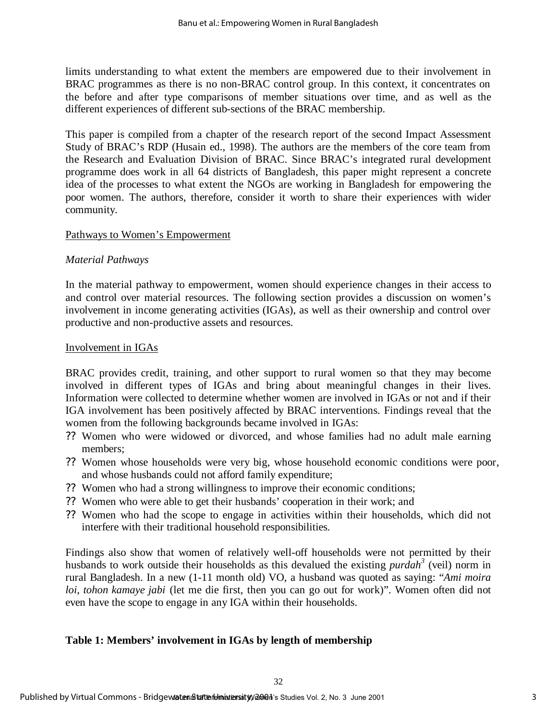limits understanding to what extent the members are empowered due to their involvement in BRAC programmes as there is no non-BRAC control group. In this context, it concentrates on the before and after type comparisons of member situations over time, and as well as the different experiences of different sub-sections of the BRAC membership.

This paper is compiled from a chapter of the research report of the second Impact Assessment Study of BRAC's RDP (Husain ed., 1998). The authors are the members of the core team from the Research and Evaluation Division of BRAC. Since BRAC's integrated rural development programme does work in all 64 districts of Bangladesh, this paper might represent a concrete idea of the processes to what extent the NGOs are working in Bangladesh for empowering the poor women. The authors, therefore, consider it worth to share their experiences with wider community.

#### Pathways to Women's Empowerment

#### *Material Pathways*

In the material pathway to empowerment, women should experience changes in their access to and control over material resources. The following section provides a discussion on women's involvement in income generating activities (IGAs), as well as their ownership and control over productive and non-productive assets and resources.

#### Involvement in IGAs

BRAC provides credit, training, and other support to rural women so that they may become involved in different types of IGAs and bring about meaningful changes in their lives. Information were collected to determine whether women are involved in IGAs or not and if their IGA involvement has been positively affected by BRAC interventions. Findings reveal that the women from the following backgrounds became involved in IGAs:

- ?? Women who were widowed or divorced, and whose families had no adult male earning members;
- ?? Women whose households were very big, whose household economic conditions were poor, and whose husbands could not afford family expenditure;
- ?? Women who had a strong willingness to improve their economic conditions;
- ?? Women who were able to get their husbands' cooperation in their work; and
- ?? Women who had the scope to engage in activities within their households, which did not interfere with their traditional household responsibilities.

Findings also show that women of relatively well-off households were not permitted by their husbands to work outside their households as this devalued the existing *purdah*<sup>3</sup> (veil) norm in rural Bangladesh. In a new (1-11 month old) VO, a husband was quoted as saying: "*Ami moira loi, tohon kamaye jabi* (let me die first, then you can go out for work)". Women often did not even have the scope to engage in any IGA within their households.

# **Table 1: Members' involvement in IGAs by length of membership**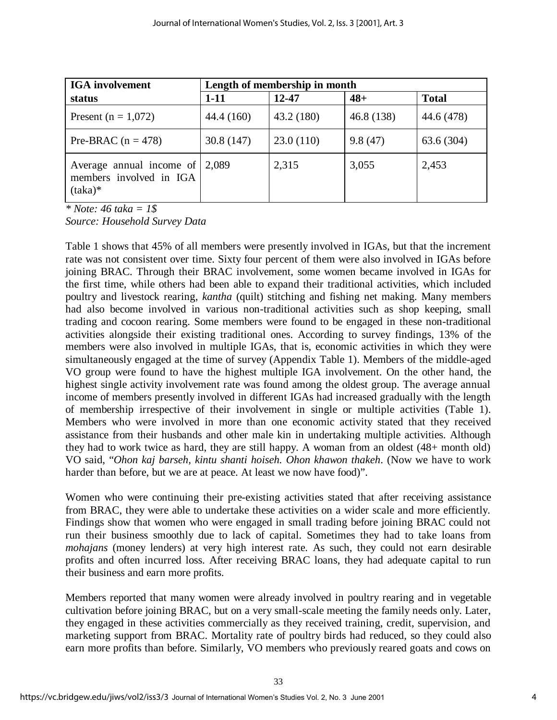| <b>IGA</b> involvement                                           | Length of membership in month |           |           |              |
|------------------------------------------------------------------|-------------------------------|-----------|-----------|--------------|
| status                                                           | $1-11$                        | 12-47     | $48+$     | <b>Total</b> |
| Present ( $n = 1,072$ )                                          | 44.4 (160)                    | 43.2(180) | 46.8(138) | 44.6 (478)   |
| Pre-BRAC $(n = 478)$                                             | 30.8(147)                     | 23.0(110) | 9.8(47)   | 63.6 (304)   |
| Average annual income of<br>members involved in IGA<br>$(taka)*$ | 2,089                         | 2,315     | 3,055     | 2,453        |

*\* Note: 46 taka = 1\$ Source: Household Survey Data* 

Table 1 shows that 45% of all members were presently involved in IGAs, but that the increment rate was not consistent over time. Sixty four percent of them were also involved in IGAs before joining BRAC. Through their BRAC involvement, some women became involved in IGAs for the first time, while others had been able to expand their traditional activities, which included poultry and livestock rearing, *kantha* (quilt) stitching and fishing net making. Many members had also become involved in various non-traditional activities such as shop keeping, small trading and cocoon rearing. Some members were found to be engaged in these non-traditional activities alongside their existing traditional ones. According to survey findings, 13% of the members were also involved in multiple IGAs, that is, economic activities in which they were simultaneously engaged at the time of survey (Appendix Table 1). Members of the middle-aged VO group were found to have the highest multiple IGA involvement. On the other hand, the highest single activity involvement rate was found among the oldest group. The average annual income of members presently involved in different IGAs had increased gradually with the length of membership irrespective of their involvement in single or multiple activities (Table 1). Members who were involved in more than one economic activity stated that they received assistance from their husbands and other male kin in undertaking multiple activities. Although they had to work twice as hard, they are still happy. A woman from an oldest (48+ month old) VO said, "*Ohon kaj barseh, kintu shanti hoiseh. Ohon khawon thakeh*. (Now we have to work harder than before, but we are at peace. At least we now have food)".

Women who were continuing their pre-existing activities stated that after receiving assistance from BRAC, they were able to undertake these activities on a wider scale and more efficiently. Findings show that women who were engaged in small trading before joining BRAC could not run their business smoothly due to lack of capital. Sometimes they had to take loans from *mohajans* (money lenders) at very high interest rate. As such, they could not earn desirable profits and often incurred loss. After receiving BRAC loans, they had adequate capital to run their business and earn more profits.

Members reported that many women were already involved in poultry rearing and in vegetable cultivation before joining BRAC, but on a very small-scale meeting the family needs only. Later, they engaged in these activities commercially as they received training, credit, supervision, and marketing support from BRAC. Mortality rate of poultry birds had reduced, so they could also earn more profits than before. Similarly, VO members who previously reared goats and cows on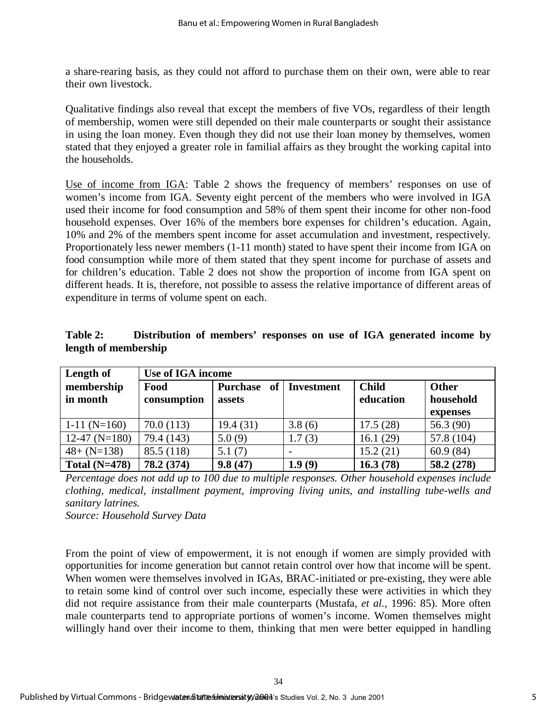a share-rearing basis, as they could not afford to purchase them on their own, were able to rear their own livestock.

Qualitative findings also reveal that except the members of five VOs, regardless of their length of membership, women were still depended on their male counterparts or sought their assistance in using the loan money. Even though they did not use their loan money by themselves, women stated that they enjoyed a greater role in familial affairs as they brought the working capital into the households.

Use of income from IGA: Table 2 shows the frequency of members' responses on use of women's income from IGA. Seventy eight percent of the members who were involved in IGA used their income for food consumption and 58% of them spent their income for other non-food household expenses. Over 16% of the members bore expenses for children's education. Again, 10% and 2% of the members spent income for asset accumulation and investment, respectively. Proportionately less newer members (1-11 month) stated to have spent their income from IGA on food consumption while more of them stated that they spent income for purchase of assets and for children's education. Table 2 does not show the proportion of income from IGA spent on different heads. It is, therefore, not possible to assess the relative importance of different areas of expenditure in terms of volume spent on each.

| Length of              | Use of IGA income   |                                              |                          |                           |                           |
|------------------------|---------------------|----------------------------------------------|--------------------------|---------------------------|---------------------------|
| membership<br>in month | Food<br>consumption | of <sub>1</sub><br><b>Purchase</b><br>assets | <b>Investment</b>        | <b>Child</b><br>education | <b>Other</b><br>household |
|                        |                     |                                              |                          |                           | expenses                  |
| $1-11(N=160)$          | 70.0(113)           | 19.4(31)                                     | 3.8(6)                   | 17.5(28)                  | 56.3 (90)                 |
| $12-47$ (N=180)        | 79.4 (143)          | 5.0(9)                                       | 1.7(3)                   | 16.1(29)                  | 57.8 (104)                |
| $48 + (N=138)$         | 85.5 (118)          | 5.1(7)                                       | $\overline{\phantom{0}}$ | 15.2(21)                  | 60.9(84)                  |
| Total $(N=478)$        | 78.2 (374)          | 9.8(47)                                      | 1.9(9)                   | 16.3(78)                  | 58.2 (278)                |

**Table 2: Distribution of members' responses on use of IGA generated income by length of membership**

*Percentage does not add up to 100 due to multiple responses. Other household expenses include clothing, medical, installment payment, improving living units, and installing tube-wells and sanitary latrines.* 

*Source: Household Survey Data* 

From the point of view of empowerment, it is not enough if women are simply provided with opportunities for income generation but cannot retain control over how that income will be spent. When women were themselves involved in IGAs, BRAC-initiated or pre-existing, they were able to retain some kind of control over such income, especially these were activities in which they did not require assistance from their male counterparts (Mustafa, *et al.*, 1996: 85). More often male counterparts tend to appropriate portions of women's income. Women themselves might willingly hand over their income to them, thinking that men were better equipped in handling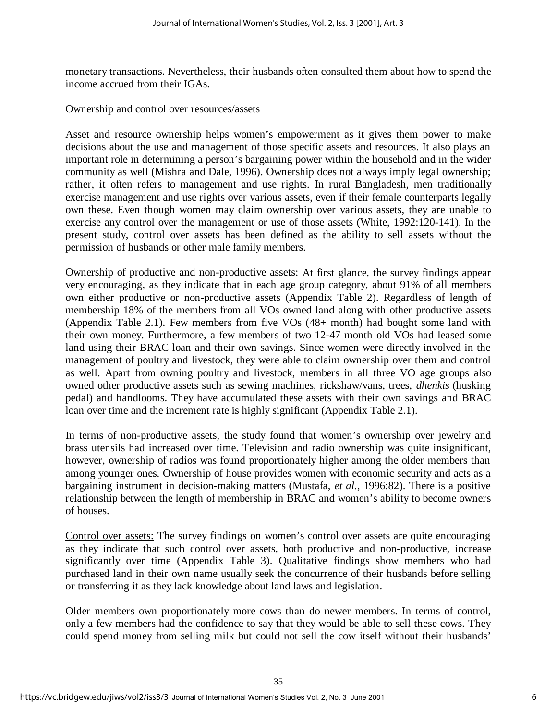monetary transactions. Nevertheless, their husbands often consulted them about how to spend the income accrued from their IGAs.

#### Ownership and control over resources/assets

Asset and resource ownership helps women's empowerment as it gives them power to make decisions about the use and management of those specific assets and resources. It also plays an important role in determining a person's bargaining power within the household and in the wider community as well (Mishra and Dale, 1996). Ownership does not always imply legal ownership; rather, it often refers to management and use rights. In rural Bangladesh, men traditionally exercise management and use rights over various assets, even if their female counterparts legally own these. Even though women may claim ownership over various assets, they are unable to exercise any control over the management or use of those assets (White, 1992:120-141). In the present study, control over assets has been defined as the ability to sell assets without the permission of husbands or other male family members.

Ownership of productive and non-productive assets: At first glance, the survey findings appear very encouraging, as they indicate that in each age group category, about 91% of all members own either productive or non-productive assets (Appendix Table 2). Regardless of length of membership 18% of the members from all VOs owned land along with other productive assets (Appendix Table 2.1). Few members from five VOs (48+ month) had bought some land with their own money. Furthermore, a few members of two 12-47 month old VOs had leased some land using their BRAC loan and their own savings. Since women were directly involved in the management of poultry and livestock, they were able to claim ownership over them and control as well. Apart from owning poultry and livestock, members in all three VO age groups also owned other productive assets such as sewing machines, rickshaw/vans, trees, *dhenkis* (husking pedal) and handlooms. They have accumulated these assets with their own savings and BRAC loan over time and the increment rate is highly significant (Appendix Table 2.1).

In terms of non-productive assets, the study found that women's ownership over jewelry and brass utensils had increased over time. Television and radio ownership was quite insignificant, however, ownership of radios was found proportionately higher among the older members than among younger ones. Ownership of house provides women with economic security and acts as a bargaining instrument in decision-making matters (Mustafa, *et al.*, 1996:82). There is a positive relationship between the length of membership in BRAC and women's ability to become owners of houses.

Control over assets: The survey findings on women's control over assets are quite encouraging as they indicate that such control over assets, both productive and non-productive, increase significantly over time (Appendix Table 3). Qualitative findings show members who had purchased land in their own name usually seek the concurrence of their husbands before selling or transferring it as they lack knowledge about land laws and legislation.

Older members own proportionately more cows than do newer members. In terms of control, only a few members had the confidence to say that they would be able to sell these cows. They could spend money from selling milk but could not sell the cow itself without their husbands'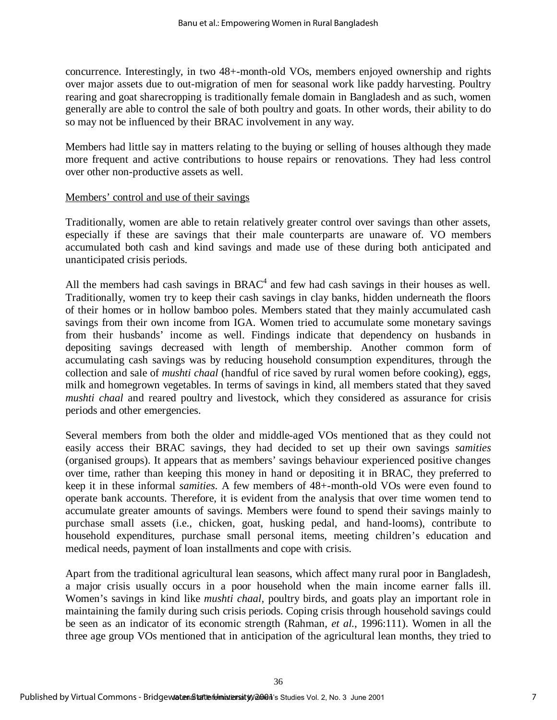concurrence. Interestingly, in two 48+-month-old VOs, members enjoyed ownership and rights over major assets due to out-migration of men for seasonal work like paddy harvesting. Poultry rearing and goat sharecropping is traditionally female domain in Bangladesh and as such, women generally are able to control the sale of both poultry and goats. In other words, their ability to do so may not be influenced by their BRAC involvement in any way.

Members had little say in matters relating to the buying or selling of houses although they made more frequent and active contributions to house repairs or renovations. They had less control over other non-productive assets as well.

#### Members' control and use of their savings

Traditionally, women are able to retain relatively greater control over savings than other assets, especially if these are savings that their male counterparts are unaware of. VO members accumulated both cash and kind savings and made use of these during both anticipated and unanticipated crisis periods.

All the members had cash savings in  $BRAC<sup>4</sup>$  and few had cash savings in their houses as well. Traditionally, women try to keep their cash savings in clay banks, hidden underneath the floors of their homes or in hollow bamboo poles. Members stated that they mainly accumulated cash savings from their own income from IGA. Women tried to accumulate some monetary savings from their husbands' income as well. Findings indicate that dependency on husbands in depositing savings decreased with length of membership. Another common form of accumulating cash savings was by reducing household consumption expenditures, through the collection and sale of *mushti chaal* (handful of rice saved by rural women before cooking), eggs, milk and homegrown vegetables. In terms of savings in kind, all members stated that they saved *mushti chaal* and reared poultry and livestock, which they considered as assurance for crisis periods and other emergencies.

Several members from both the older and middle-aged VOs mentioned that as they could not easily access their BRAC savings, they had decided to set up their own savings *samities*  (organised groups). It appears that as members' savings behaviour experienced positive changes over time, rather than keeping this money in hand or depositing it in BRAC, they preferred to keep it in these informal *samities*. A few members of 48+-month-old VOs were even found to operate bank accounts. Therefore, it is evident from the analysis that over time women tend to accumulate greater amounts of savings. Members were found to spend their savings mainly to purchase small assets (i.e., chicken, goat, husking pedal, and hand-looms), contribute to household expenditures, purchase small personal items, meeting children's education and medical needs, payment of loan installments and cope with crisis.

Apart from the traditional agricultural lean seasons, which affect many rural poor in Bangladesh, a major crisis usually occurs in a poor household when the main income earner falls ill. Women's savings in kind like *mushti chaal*, poultry birds, and goats play an important role in maintaining the family during such crisis periods. Coping crisis through household savings could be seen as an indicator of its economic strength (Rahman, *et al.*, 1996:111). Women in all the three age group VOs mentioned that in anticipation of the agricultural lean months, they tried to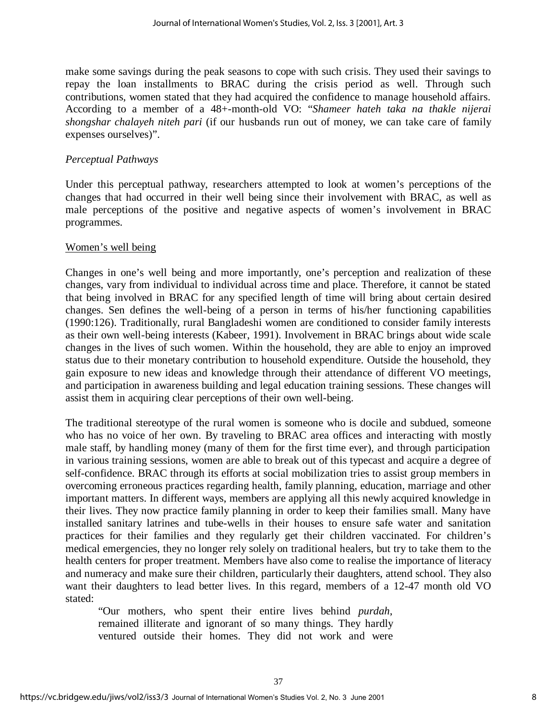make some savings during the peak seasons to cope with such crisis. They used their savings to repay the loan installments to BRAC during the crisis period as well. Through such contributions, women stated that they had acquired the confidence to manage household affairs. According to a member of a 48+-month-old VO: "*Shameer hateh taka na thakle nijerai shongshar chalayeh niteh pari* (if our husbands run out of money, we can take care of family expenses ourselves)".

### *Perceptual Pathways*

Under this perceptual pathway, researchers attempted to look at women's perceptions of the changes that had occurred in their well being since their involvement with BRAC, as well as male perceptions of the positive and negative aspects of women's involvement in BRAC programmes.

#### Women's well being

Changes in one's well being and more importantly, one's perception and realization of these changes, vary from individual to individual across time and place. Therefore, it cannot be stated that being involved in BRAC for any specified length of time will bring about certain desired changes. Sen defines the well-being of a person in terms of his/her functioning capabilities (1990:126). Traditionally, rural Bangladeshi women are conditioned to consider family interests as their own well-being interests (Kabeer, 1991). Involvement in BRAC brings about wide scale changes in the lives of such women. Within the household, they are able to enjoy an improved status due to their monetary contribution to household expenditure. Outside the household, they gain exposure to new ideas and knowledge through their attendance of different VO meetings, and participation in awareness building and legal education training sessions. These changes will assist them in acquiring clear perceptions of their own well-being.

The traditional stereotype of the rural women is someone who is docile and subdued, someone who has no voice of her own. By traveling to BRAC area offices and interacting with mostly male staff, by handling money (many of them for the first time ever), and through participation in various training sessions, women are able to break out of this typecast and acquire a degree of self-confidence. BRAC through its efforts at social mobilization tries to assist group members in overcoming erroneous practices regarding health, family planning, education, marriage and other important matters. In different ways, members are applying all this newly acquired knowledge in their lives. They now practice family planning in order to keep their families small. Many have installed sanitary latrines and tube-wells in their houses to ensure safe water and sanitation practices for their families and they regularly get their children vaccinated. For children's medical emergencies, they no longer rely solely on traditional healers, but try to take them to the health centers for proper treatment. Members have also come to realise the importance of literacy and numeracy and make sure their children, particularly their daughters, attend school. They also want their daughters to lead better lives. In this regard, members of a 12-47 month old VO stated:

37

"Our mothers, who spent their entire lives behind *purdah*, remained illiterate and ignorant of so many things. They hardly ventured outside their homes. They did not work and were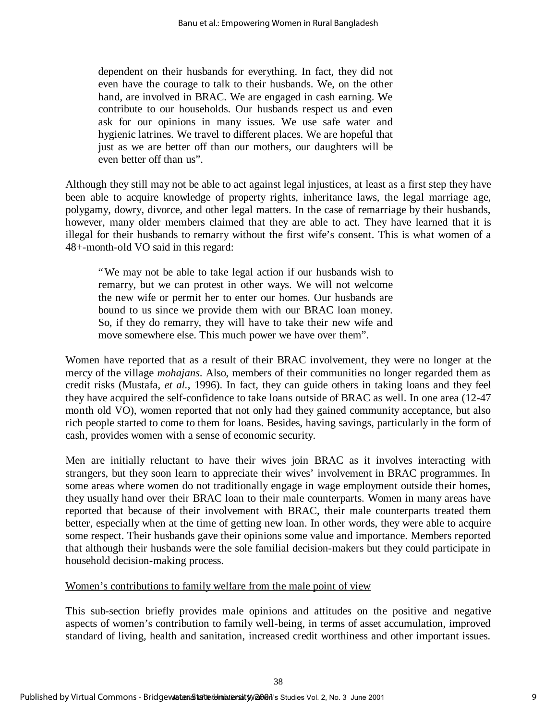dependent on their husbands for everything. In fact, they did not even have the courage to talk to their husbands. We, on the other hand, are involved in BRAC. We are engaged in cash earning. We contribute to our households. Our husbands respect us and even ask for our opinions in many issues. We use safe water and hygienic latrines. We travel to different places. We are hopeful that just as we are better off than our mothers, our daughters will be even better off than us".

Although they still may not be able to act against legal injustices, at least as a first step they have been able to acquire knowledge of property rights, inheritance laws, the legal marriage age, polygamy, dowry, divorce, and other legal matters. In the case of remarriage by their husbands, however, many older members claimed that they are able to act. They have learned that it is illegal for their husbands to remarry without the first wife's consent. This is what women of a 48+-month-old VO said in this regard:

"We may not be able to take legal action if our husbands wish to remarry, but we can protest in other ways. We will not welcome the new wife or permit her to enter our homes. Our husbands are bound to us since we provide them with our BRAC loan money. So, if they do remarry, they will have to take their new wife and move somewhere else. This much power we have over them".

Women have reported that as a result of their BRAC involvement, they were no longer at the mercy of the village *mohajans*. Also, members of their communities no longer regarded them as credit risks (Mustafa, *et al.*, 1996). In fact, they can guide others in taking loans and they feel they have acquired the self-confidence to take loans outside of BRAC as well. In one area (12-47 month old VO), women reported that not only had they gained community acceptance, but also rich people started to come to them for loans. Besides, having savings, particularly in the form of cash, provides women with a sense of economic security.

Men are initially reluctant to have their wives join BRAC as it involves interacting with strangers, but they soon learn to appreciate their wives' involvement in BRAC programmes. In some areas where women do not traditionally engage in wage employment outside their homes, they usually hand over their BRAC loan to their male counterparts. Women in many areas have reported that because of their involvement with BRAC, their male counterparts treated them better, especially when at the time of getting new loan. In other words, they were able to acquire some respect. Their husbands gave their opinions some value and importance. Members reported that although their husbands were the sole familial decision-makers but they could participate in household decision-making process.

#### Women's contributions to family welfare from the male point of view

This sub-section briefly provides male opinions and attitudes on the positive and negative aspects of women's contribution to family well-being, in terms of asset accumulation, improved standard of living, health and sanitation, increased credit worthiness and other important issues.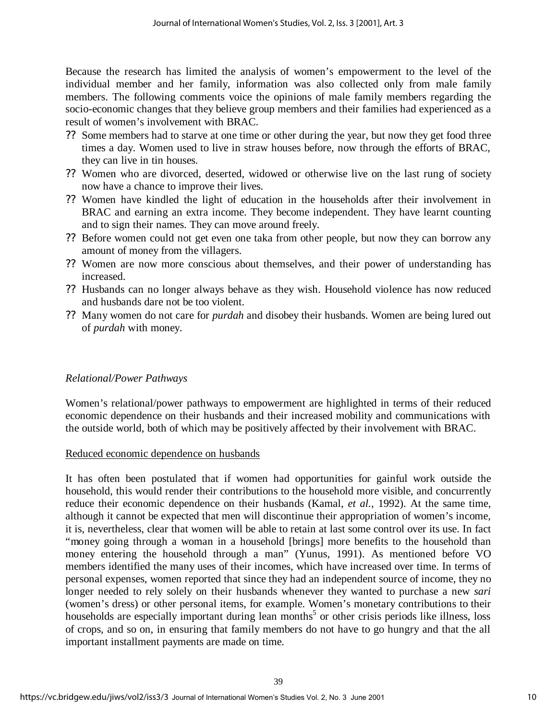Because the research has limited the analysis of women's empowerment to the level of the individual member and her family, information was also collected only from male family members. The following comments voice the opinions of male family members regarding the socio-economic changes that they believe group members and their families had experienced as a result of women's involvement with BRAC.

- ?? Some members had to starve at one time or other during the year, but now they get food three times a day. Women used to live in straw houses before, now through the efforts of BRAC, they can live in tin houses.
- ?? Women who are divorced, deserted, widowed or otherwise live on the last rung of society now have a chance to improve their lives.
- ?? Women have kindled the light of education in the households after their involvement in BRAC and earning an extra income. They become independent. They have learnt counting and to sign their names. They can move around freely.
- ?? Before women could not get even one taka from other people, but now they can borrow any amount of money from the villagers.
- ?? Women are now more conscious about themselves, and their power of understanding has increased.
- ?? Husbands can no longer always behave as they wish. Household violence has now reduced and husbands dare not be too violent.
- ?? Many women do not care for *purdah* and disobey their husbands. Women are being lured out of *purdah* with money.

# *Relational/Power Pathways*

Women's relational/power pathways to empowerment are highlighted in terms of their reduced economic dependence on their husbands and their increased mobility and communications with the outside world, both of which may be positively affected by their involvement with BRAC.

#### Reduced economic dependence on husbands

It has often been postulated that if women had opportunities for gainful work outside the household, this would render their contributions to the household more visible, and concurrently reduce their economic dependence on their husbands (Kamal, *et al.*, 1992). At the same time, although it cannot be expected that men will discontinue their appropriation of women's income, it is, nevertheless, clear that women will be able to retain at last some control over its use. In fact "money going through a woman in a household [brings] more benefits to the household than money entering the household through a man" (Yunus, 1991). As mentioned before VO members identified the many uses of their incomes, which have increased over time. In terms of personal expenses, women reported that since they had an independent source of income, they no longer needed to rely solely on their husbands whenever they wanted to purchase a new *sari* (women's dress) or other personal items, for example. Women's monetary contributions to their households are especially important during lean months<sup>5</sup> or other crisis periods like illness, loss of crops, and so on, in ensuring that family members do not have to go hungry and that the all important installment payments are made on time.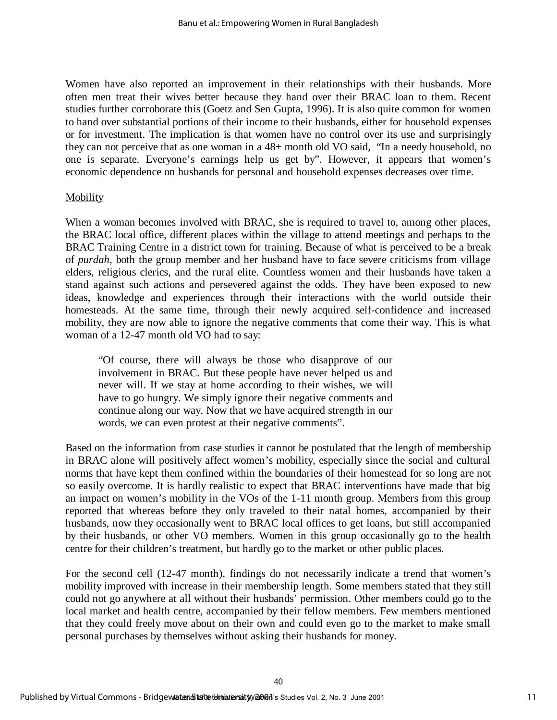Women have also reported an improvement in their relationships with their husbands. More often men treat their wives better because they hand over their BRAC loan to them. Recent studies further corroborate this (Goetz and Sen Gupta, 1996). It is also quite common for women to hand over substantial portions of their income to their husbands, either for household expenses or for investment. The implication is that women have no control over its use and surprisingly they can not perceive that as one woman in a 48+ month old VO said, "In a needy household, no one is separate. Everyone's earnings help us get by". However, it appears that women's economic dependence on husbands for personal and household expenses decreases over time.

#### Mobility

When a woman becomes involved with BRAC, she is required to travel to, among other places, the BRAC local office, different places within the village to attend meetings and perhaps to the BRAC Training Centre in a district town for training. Because of what is perceived to be a break of *purdah*, both the group member and her husband have to face severe criticisms from village elders, religious clerics, and the rural elite. Countless women and their husbands have taken a stand against such actions and persevered against the odds. They have been exposed to new ideas, knowledge and experiences through their interactions with the world outside their homesteads. At the same time, through their newly acquired self-confidence and increased mobility, they are now able to ignore the negative comments that come their way. This is what woman of a 12-47 month old VO had to say:

"Of course, there will always be those who disapprove of our involvement in BRAC. But these people have never helped us and never will. If we stay at home according to their wishes, we will have to go hungry. We simply ignore their negative comments and continue along our way. Now that we have acquired strength in our words, we can even protest at their negative comments".

Based on the information from case studies it cannot be postulated that the length of membership in BRAC alone will positively affect women's mobility, especially since the social and cultural norms that have kept them confined within the boundaries of their homestead for so long are not so easily overcome. It is hardly realistic to expect that BRAC interventions have made that big an impact on women's mobility in the VOs of the 1-11 month group. Members from this group reported that whereas before they only traveled to their natal homes, accompanied by their husbands, now they occasionally went to BRAC local offices to get loans, but still accompanied by their husbands, or other VO members. Women in this group occasionally go to the health centre for their children's treatment, but hardly go to the market or other public places.

For the second cell (12-47 month), findings do not necessarily indicate a trend that women's mobility improved with increase in their membership length. Some members stated that they still could not go anywhere at all without their husbands' permission. Other members could go to the local market and health centre, accompanied by their fellow members. Few members mentioned that they could freely move about on their own and could even go to the market to make small personal purchases by themselves without asking their husbands for money.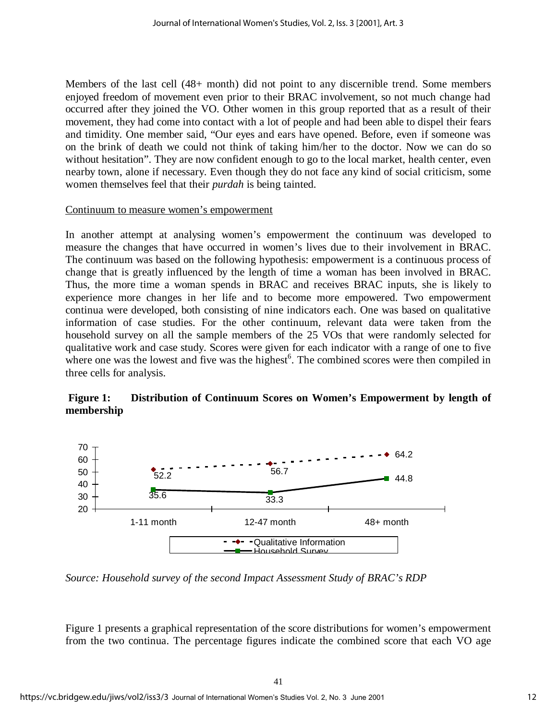Members of the last cell (48+ month) did not point to any discernible trend. Some members enjoyed freedom of movement even prior to their BRAC involvement, so not much change had occurred after they joined the VO. Other women in this group reported that as a result of their movement, they had come into contact with a lot of people and had been able to dispel their fears and timidity. One member said, "Our eyes and ears have opened. Before, even if someone was on the brink of death we could not think of taking him/her to the doctor. Now we can do so without hesitation". They are now confident enough to go to the local market, health center, even nearby town, alone if necessary. Even though they do not face any kind of social criticism, some women themselves feel that their *purdah* is being tainted.

# Continuum to measure women's empowerment

In another attempt at analysing women's empowerment the continuum was developed to measure the changes that have occurred in women's lives due to their involvement in BRAC. The continuum was based on the following hypothesis: empowerment is a continuous process of change that is greatly influenced by the length of time a woman has been involved in BRAC. Thus, the more time a woman spends in BRAC and receives BRAC inputs, she is likely to experience more changes in her life and to become more empowered. Two empowerment continua were developed, both consisting of nine indicators each. One was based on qualitative information of case studies. For the other continuum, relevant data were taken from the household survey on all the sample members of the 25 VOs that were randomly selected for qualitative work and case study. Scores were given for each indicator with a range of one to five where one was the lowest and five was the highest<sup>6</sup>. The combined scores were then compiled in three cells for analysis.

# **Figure 1: Distribution of Continuum Scores on Women's Empowerment by length of membership**



*Source: Household survey of the second Impact Assessment Study of BRAC's RDP*

Figure 1 presents a graphical representation of the score distributions for women's empowerment from the two continua. The percentage figures indicate the combined score that each VO age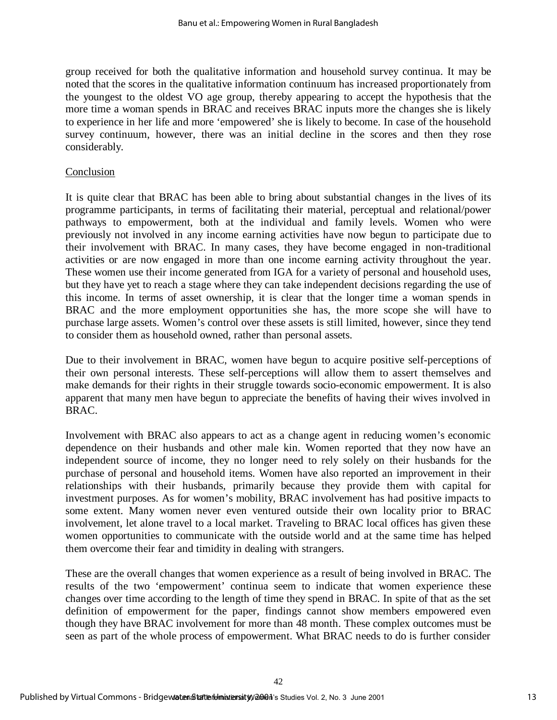group received for both the qualitative information and household survey continua. It may be noted that the scores in the qualitative information continuum has increased proportionately from the youngest to the oldest VO age group, thereby appearing to accept the hypothesis that the more time a woman spends in BRAC and receives BRAC inputs more the changes she is likely to experience in her life and more 'empowered' she is likely to become. In case of the household survey continuum, however, there was an initial decline in the scores and then they rose considerably.

#### Conclusion

It is quite clear that BRAC has been able to bring about substantial changes in the lives of its programme participants, in terms of facilitating their material, perceptual and relational/power pathways to empowerment, both at the individual and family levels. Women who were previously not involved in any income earning activities have now begun to participate due to their involvement with BRAC. In many cases, they have become engaged in non-traditional activities or are now engaged in more than one income earning activity throughout the year. These women use their income generated from IGA for a variety of personal and household uses, but they have yet to reach a stage where they can take independent decisions regarding the use of this income. In terms of asset ownership, it is clear that the longer time a woman spends in BRAC and the more employment opportunities she has, the more scope she will have to purchase large assets. Women's control over these assets is still limited, however, since they tend to consider them as household owned, rather than personal assets.

Due to their involvement in BRAC, women have begun to acquire positive self-perceptions of their own personal interests. These self-perceptions will allow them to assert themselves and make demands for their rights in their struggle towards socio-economic empowerment. It is also apparent that many men have begun to appreciate the benefits of having their wives involved in BRAC.

Involvement with BRAC also appears to act as a change agent in reducing women's economic dependence on their husbands and other male kin. Women reported that they now have an independent source of income, they no longer need to rely solely on their husbands for the purchase of personal and household items. Women have also reported an improvement in their relationships with their husbands, primarily because they provide them with capital for investment purposes. As for women's mobility, BRAC involvement has had positive impacts to some extent. Many women never even ventured outside their own locality prior to BRAC involvement, let alone travel to a local market. Traveling to BRAC local offices has given these women opportunities to communicate with the outside world and at the same time has helped them overcome their fear and timidity in dealing with strangers.

These are the overall changes that women experience as a result of being involved in BRAC. The results of the two 'empowerment' continua seem to indicate that women experience these changes over time according to the length of time they spend in BRAC. In spite of that as the set definition of empowerment for the paper, findings cannot show members empowered even though they have BRAC involvement for more than 48 month. These complex outcomes must be seen as part of the whole process of empowerment. What BRAC needs to do is further consider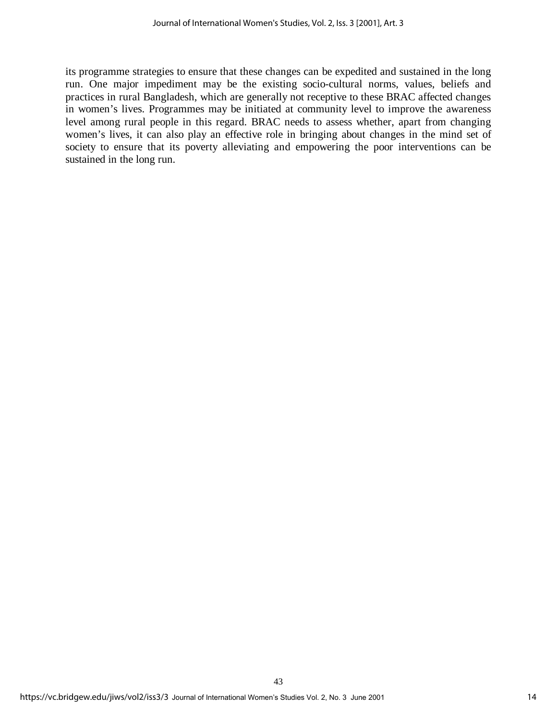its programme strategies to ensure that these changes can be expedited and sustained in the long run. One major impediment may be the existing socio-cultural norms, values, beliefs and practices in rural Bangladesh, which are generally not receptive to these BRAC affected changes in women's lives. Programmes may be initiated at community level to improve the awareness level among rural people in this regard. BRAC needs to assess whether, apart from changing women's lives, it can also play an effective role in bringing about changes in the mind set of society to ensure that its poverty alleviating and empowering the poor interventions can be sustained in the long run.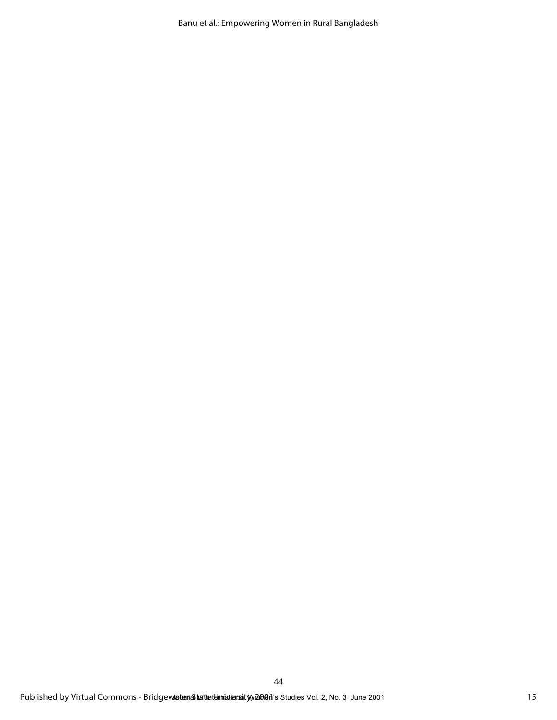Banu et al.: Empowering Women in Rural Bangladesh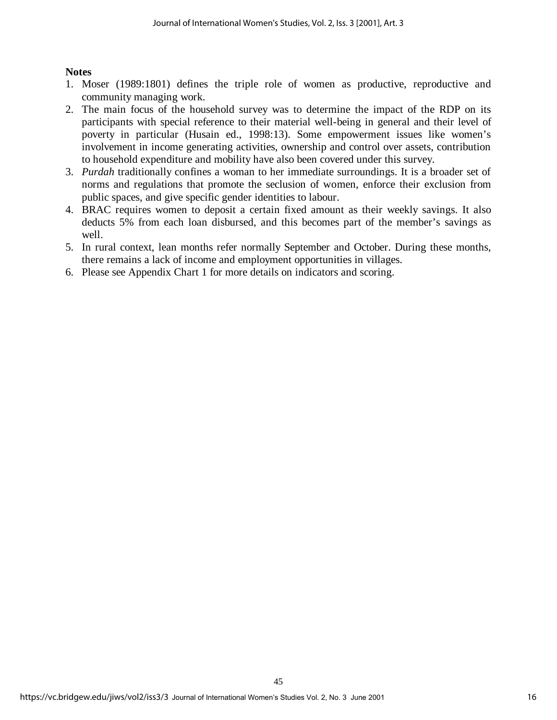**Notes** 

- 1. Moser (1989:1801) defines the triple role of women as productive, reproductive and community managing work.
- 2. The main focus of the household survey was to determine the impact of the RDP on its participants with special reference to their material well-being in general and their level of poverty in particular (Husain ed., 1998:13). Some empowerment issues like women's involvement in income generating activities, ownership and control over assets, contribution to household expenditure and mobility have also been covered under this survey.
- 3. *Purdah* traditionally confines a woman to her immediate surroundings. It is a broader set of norms and regulations that promote the seclusion of women, enforce their exclusion from public spaces, and give specific gender identities to labour.
- 4. BRAC requires women to deposit a certain fixed amount as their weekly savings. It also deducts 5% from each loan disbursed, and this becomes part of the member's savings as well.
- 5. In rural context, lean months refer normally September and October. During these months, there remains a lack of income and employment opportunities in villages.
- 6. Please see Appendix Chart 1 for more details on indicators and scoring.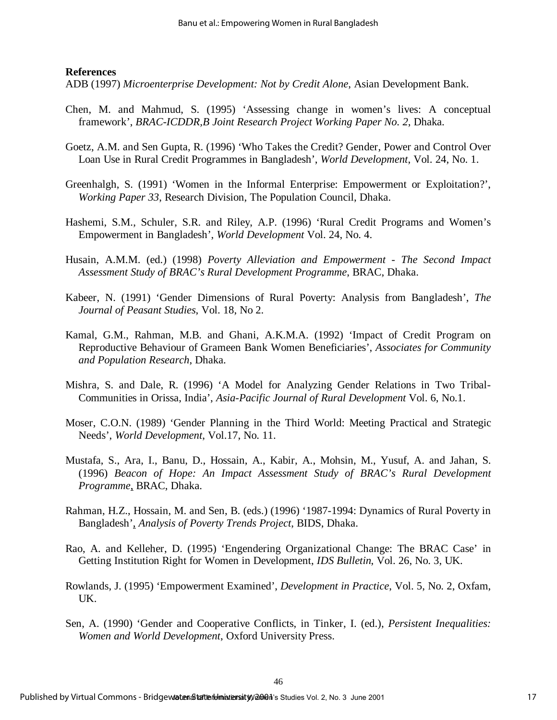#### **References**

ADB (1997) *Microenterprise Development: Not by Credit Alone*, Asian Development Bank.

- Chen, M. and Mahmud, S. (1995) 'Assessing change in women's lives: A conceptual framework', *BRAC-ICDDR,B Joint Research Project Working Paper No. 2*, Dhaka.
- Goetz, A.M. and Sen Gupta, R. (1996) 'Who Takes the Credit? Gender, Power and Control Over Loan Use in Rural Credit Programmes in Bangladesh', *World Development*, Vol. 24, No. 1.
- Greenhalgh, S. (1991) 'Women in the Informal Enterprise: Empowerment or Exploitation?', *Working Paper 33*, Research Division, The Population Council, Dhaka.
- Hashemi, S.M., Schuler, S.R. and Riley, A.P. (1996) 'Rural Credit Programs and Women's Empowerment in Bangladesh', *World Development* Vol. 24, No. 4.
- Husain, A.M.M. (ed.) (1998) *Poverty Alleviation and Empowerment The Second Impact Assessment Study of BRAC's Rural Development Programme*, BRAC, Dhaka.
- Kabeer, N. (1991) 'Gender Dimensions of Rural Poverty: Analysis from Bangladesh', *The Journal of Peasant Studies*, Vol. 18, No 2.
- Kamal, G.M., Rahman, M.B. and Ghani, A.K.M.A. (1992) 'Impact of Credit Program on Reproductive Behaviour of Grameen Bank Women Beneficiaries', *Associates for Community and Population Research*, Dhaka.
- Mishra, S. and Dale, R. (1996) 'A Model for Analyzing Gender Relations in Two Tribal-Communities in Orissa, India', *Asia-Pacific Journal of Rural Development* Vol. 6, No.1.
- Moser, C.O.N. (1989) 'Gender Planning in the Third World: Meeting Practical and Strategic Needs', *World Development*, Vol.17, No. 11.
- Mustafa, S., Ara, I., Banu, D., Hossain, A., Kabir, A., Mohsin, M., Yusuf, A. and Jahan, S. (1996) *Beacon of Hope: An Impact Assessment Study of BRAC's Rural Development Programme*, BRAC, Dhaka.
- Rahman, H.Z., Hossain, M. and Sen, B. (eds.) (1996) '1987-1994: Dynamics of Rural Poverty in Bangladesh', *Analysis of Poverty Trends Project*, BIDS, Dhaka.
- Rao, A. and Kelleher, D. (1995) 'Engendering Organizational Change: The BRAC Case' in Getting Institution Right for Women in Development, *IDS Bulletin*, Vol. 26, No. 3, UK.
- Rowlands, J. (1995) 'Empowerment Examined', *Development in Practice*, Vol. 5, No. 2, Oxfam, UK.
- Sen, A. (1990) 'Gender and Cooperative Conflicts, in Tinker, I. (ed.), *Persistent Inequalities: Women and World Development*, Oxford University Press.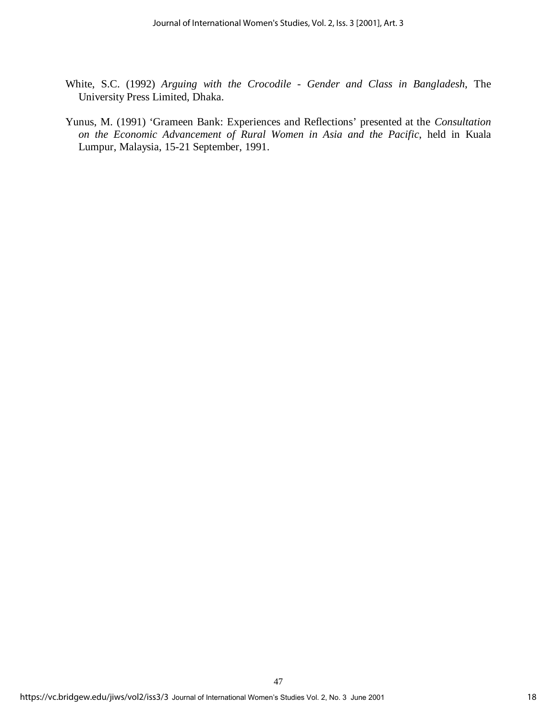- White, S.C. (1992) *Arguing with the Crocodile Gender and Class in Bangladesh*, The University Press Limited, Dhaka.
- Yunus, M. (1991) 'Grameen Bank: Experiences and Reflections' presented at the *Consultation on the Economic Advancement of Rural Women in Asia and the Pacific*, held in Kuala Lumpur, Malaysia, 15-21 September, 1991.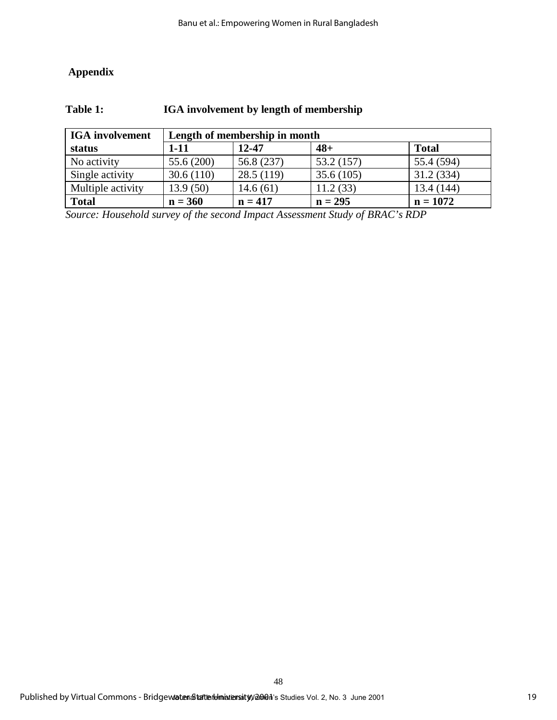# **Appendix**

| <b>IGA</b> involvement | Length of membership in month |            |            |              |
|------------------------|-------------------------------|------------|------------|--------------|
| status                 | $1-11$                        | $12 - 47$  | $48+$      | <b>Total</b> |
| No activity            | 55.6 $(200)$                  | 56.8 (237) | 53.2 (157) | 55.4 (594)   |
| Single activity        | 30.6(110)                     | 28.5(119)  | 35.6(105)  | 31.2(334)    |
| Multiple activity      | 13.9(50)                      | 14.6(61)   | 11.2(33)   | 13.4(144)    |
| <b>Total</b>           | $n = 360$                     | $n = 417$  | $n = 295$  | $n = 1072$   |

# **Table 1: IGA involvement by length of membership**

*Source: Household survey of the second Impact Assessment Study of BRAC's RDP*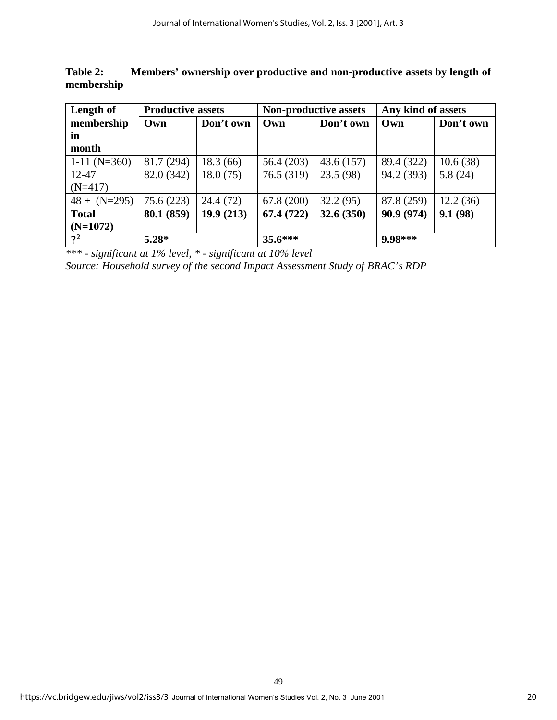| Length of      | <b>Productive assets</b> |           | <b>Non-productive assets</b> |           | Any kind of assets |           |
|----------------|--------------------------|-----------|------------------------------|-----------|--------------------|-----------|
| membership     | Own                      | Don't own | Own                          | Don't own | Own                | Don't own |
| in             |                          |           |                              |           |                    |           |
| month          |                          |           |                              |           |                    |           |
| $1-11$ (N=360) | 81.7 (294)               | 18.3(66)  | 56.4 (203)                   | 43.6(157) | 89.4 (322)         | 10.6(38)  |
| 12-47          | 82.0 (342)               | 18.0(75)  | 76.5 (319)                   | 23.5(98)  | 94.2 (393)         | 5.8(24)   |
| $(N=417)$      |                          |           |                              |           |                    |           |
| $48 + (N=295)$ | 75.6(223)                | 24.4 (72) | 67.8(200)                    | 32.2(95)  | 87.8 (259)         | 12.2(36)  |
| <b>Total</b>   | 80.1 (859)               | 19.9(213) | 67.4 (722)                   | 32.6(350) | 90.9 (974)         | 9.1(98)   |
| $(N=1072)$     |                          |           |                              |           |                    |           |
| $2^2$          | $5.28*$                  |           | $35.6***$                    |           | 9.98***            |           |

**Table 2: Members' ownership over productive and non-productive assets by length of membership**

*\*\*\* - significant at 1% level, \* - significant at 10% level*

*Source: Household survey of the second Impact Assessment Study of BRAC's RDP*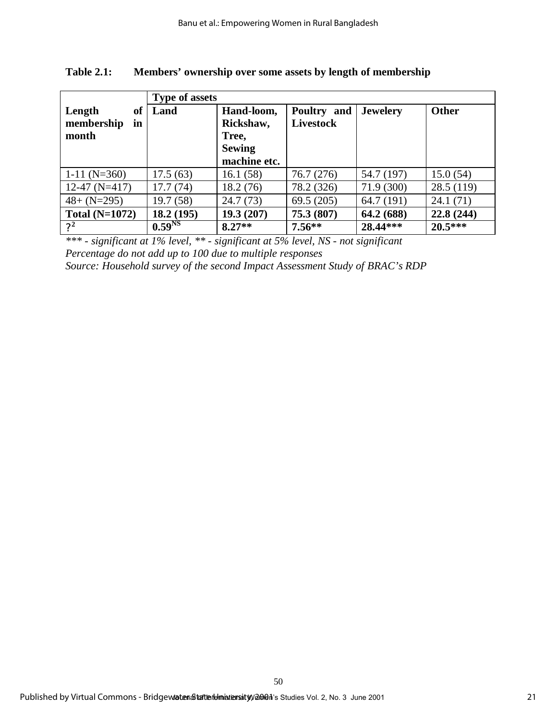|                       | <b>Type of assets</b> |               |                  |                 |              |
|-----------------------|-----------------------|---------------|------------------|-----------------|--------------|
| оf<br>Length          | Land                  | Hand-loom,    | Poultry and      | <b>Jewelery</b> | <b>Other</b> |
| membership<br>in      |                       | Rickshaw,     | <b>Livestock</b> |                 |              |
| month                 |                       | Tree,         |                  |                 |              |
|                       |                       | <b>Sewing</b> |                  |                 |              |
|                       |                       | machine etc.  |                  |                 |              |
| $1-11$ (N=360)        | 17.5(63)              | 16.1(58)      | 76.7 (276)       | 54.7 (197)      | 15.0(54)     |
| $12-47$ (N=417)       | 17.7(74)              | 18.2 (76)     | 78.2 (326)       | 71.9(300)       | 28.5(119)    |
| $48 + (N=295)$        | 19.7(58)              | 24.7(73)      | 69.5(205)        | 64.7 (191)      | 24.1(71)     |
| <b>Total (N=1072)</b> | 18.2(195)             | 19.3(207)     | 75.3 (807)       | 64.2 (688)      | 22.8 (244)   |
| $2^2$                 | 0.59 <sup>NS</sup>    | $8.27**$      | $7.56**$         | 28.44***        | $20.5***$    |

**Table 2.1: Members' ownership over some assets by length of membership**

*\*\*\* - significant at 1% level, \*\* - significant at 5% level, NS - not significant Percentage do not add up to 100 due to multiple responses*

*Source: Household survey of the second Impact Assessment Study of BRAC's RDP*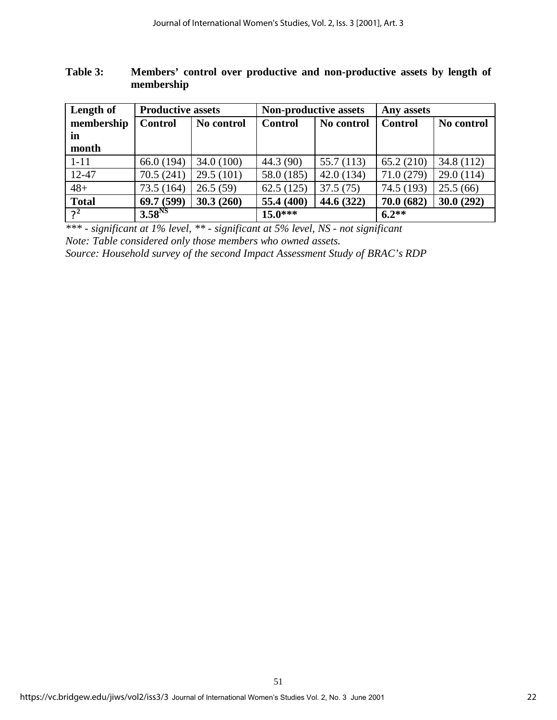| Length of    | <b>Productive assets</b> |            | <b>Non-productive assets</b> |            | Any assets     |            |
|--------------|--------------------------|------------|------------------------------|------------|----------------|------------|
| membership   | <b>Control</b>           | No control | <b>Control</b>               | No control | <b>Control</b> | No control |
| in           |                          |            |                              |            |                |            |
| month        |                          |            |                              |            |                |            |
| $1 - 11$     | 66.0(194)                | 34.0(100)  | 44.3 (90)                    | 55.7 (113) | 65.2(210)      | 34.8(112)  |
| $12 - 47$    | 70.5(241)                | 29.5(101)  | 58.0 (185)                   | 42.0(134)  | 71.0(279)      | 29.0(114)  |
| $48+$        | 73.5 (164)               | 26.5(59)   | 62.5(125)                    | 37.5(75)   | 74.5 (193)     | 25.5(66)   |
| <b>Total</b> | 69.7(599)                | 30.3(260)  | 55.4 (400)                   | 44.6 (322) | 70.0(682)      | 30.0(292)  |
| $2^2$        | 3.58 <sup>NS</sup>       |            | $15.0***$                    |            | $6.2**$        |            |

# **Table 3: Members' control over productive and non-productive assets by length of membership**

*\*\*\* - significant at 1% level, \*\* - significant at 5% level, NS - not significant Note: Table considered only those members who owned assets.*

*Source: Household survey of the second Impact Assessment Study of BRAC's RDP*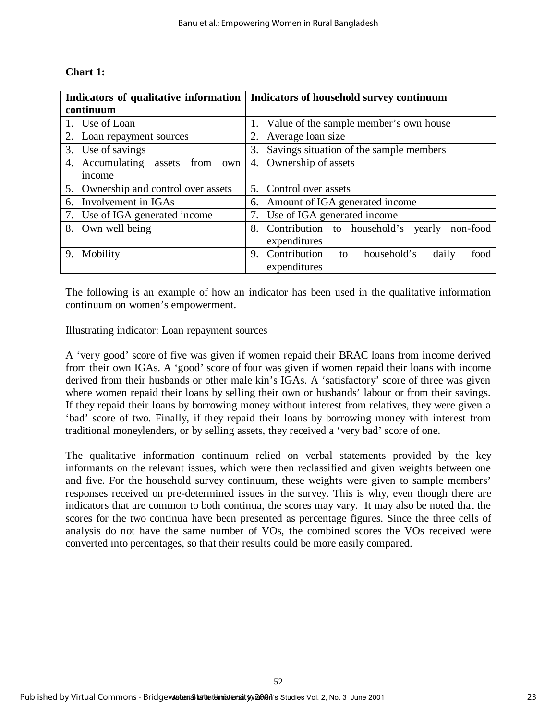| <b>Chart 1</b> |
|----------------|
|----------------|

| Indicators of qualitative information<br>continuum | Indicators of household survey continuum                 |
|----------------------------------------------------|----------------------------------------------------------|
|                                                    |                                                          |
| 1. Use of Loan                                     | 1. Value of the sample member's own house                |
| 2. Loan repayment sources                          | 2. Average loan size                                     |
| 3. Use of savings                                  | Savings situation of the sample members<br>3.            |
| 4. Accumulating<br>from<br>assets<br>own           | 4. Ownership of assets                                   |
| income                                             |                                                          |
| 5. Ownership and control over assets               | 5. Control over assets                                   |
| 6. Involvement in IGAs                             | 6. Amount of IGA generated income                        |
| 7. Use of IGA generated income                     | 7. Use of IGA generated income                           |
| 8. Own well being                                  | 8. Contribution to household's<br>non-food<br>yearly     |
|                                                    | expenditures                                             |
| 9.<br>Mobility                                     | Contribution<br>household's<br>daily<br>food<br>9.<br>to |
|                                                    | expenditures                                             |

The following is an example of how an indicator has been used in the qualitative information continuum on women's empowerment.

Illustrating indicator: Loan repayment sources

A 'very good' score of five was given if women repaid their BRAC loans from income derived from their own IGAs. A 'good' score of four was given if women repaid their loans with income derived from their husbands or other male kin's IGAs. A 'satisfactory' score of three was given where women repaid their loans by selling their own or husbands' labour or from their savings. If they repaid their loans by borrowing money without interest from relatives, they were given a 'bad' score of two. Finally, if they repaid their loans by borrowing money with interest from traditional moneylenders, or by selling assets, they received a 'very bad' score of one.

The qualitative information continuum relied on verbal statements provided by the key informants on the relevant issues, which were then reclassified and given weights between one and five. For the household survey continuum, these weights were given to sample members' responses received on pre-determined issues in the survey. This is why, even though there are indicators that are common to both continua, the scores may vary. It may also be noted that the scores for the two continua have been presented as percentage figures. Since the three cells of analysis do not have the same number of VOs, the combined scores the VOs received were converted into percentages, so that their results could be more easily compared.